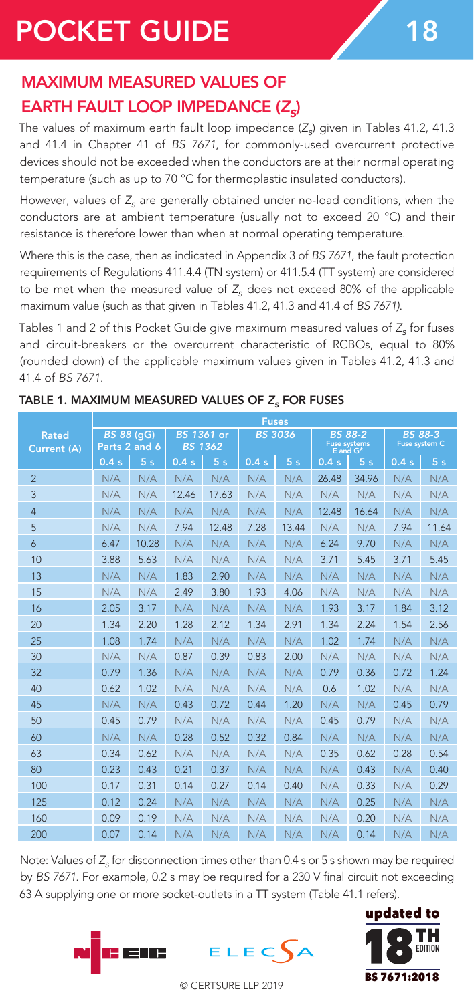# POCKET GUIDE 18

## MAXIMUM MEASURED VALUES OF **EARTH FAULT LOOP IMPEDANCE (Z)**

The values of maximum earth fault loop impedance (Z<sub>o</sub>) given in Tables 41.2, 41.3 and 41.4 in Chapter 41 of *BS 7671*, for commonly-used overcurrent protective devices should not be exceeded when the conductors are at their normal operating temperature (such as up to 70 °C for thermoplastic insulated conductors).

However, values of  $Z<sub>s</sub>$  are generally obtained under no-load conditions, when the conductors are at ambient temperature (usually not to exceed 20 °C) and their resistance is therefore lower than when at normal operating temperature.

Where this is the case, then as indicated in Appendix 3 of *BS 7671*, the fault protection requirements of Regulations 411.4.4 (TN system) or 411.5.4 (TT system) are considered to be met when the measured value of  $Z<sub>c</sub>$  does not exceed 80% of the applicable maximum value (such as that given in Tables 41.2, 41.3 and 41.4 of *BS 7671)*.

Tables 1 and 2 of this Pocket Guide give maximum measured values of Z<sub>s</sub> for fuses and circuit-breakers or the overcurrent characteristic of RCBOs, equal to 80% (rounded down) of the applicable maximum values given in Tables 41.2, 41.3 and 41.4 of *BS 7671*.

|                             | <b>Fuses</b>                       |                |                              |                |                |                |                                            |       |                                 |                |  |
|-----------------------------|------------------------------------|----------------|------------------------------|----------------|----------------|----------------|--------------------------------------------|-------|---------------------------------|----------------|--|
| <b>Rated</b><br>Current (A) | <b>BS 88 (gG)</b><br>Parts 2 and 6 |                | BS 1361 or<br><b>BS 1362</b> |                | <b>BS 3036</b> |                | <b>BS 88-2</b><br>Fuse systems<br>E and G* |       | <b>BS 88-3</b><br>Fuse system C |                |  |
|                             | 0.4s                               | 5 <sub>s</sub> | 0.4s                         | 5 <sub>s</sub> | 0.4s           | 5 <sub>s</sub> | 0.4s                                       | 5s    | 0.4s                            | 5 <sub>s</sub> |  |
| $\overline{2}$              | N/A                                | N/A            | N/A                          | N/A            | N/A            | N/A            | 26.48                                      | 34.96 | N/A                             | N/A            |  |
| 3                           | N/A                                | N/A            | 12.46                        | 17.63          | N/A            | N/A            | N/A                                        | N/A   | N/A                             | N/A            |  |
| $\overline{4}$              | N/A                                | N/A            | N/A                          | N/A            | N/A            | N/A            | 12.48                                      | 16.64 | N/A                             | N/A            |  |
| 5                           | N/A                                | N/A            | 7.94                         | 12.48          | 7.28           | 13.44          | N/A                                        | N/A   | 7.94                            | 11.64          |  |
| 6                           | 6.47                               | 10.28          | N/A                          | N/A            | N/A            | N/A            | 6.24                                       | 9.70  | N/A                             | N/A            |  |
| 10                          | 3.88                               | 5.63           | N/A                          | N/A            | N/A            | N/A            | 3.71                                       | 5.45  | 3.71                            | 5.45           |  |
| 13                          | N/A                                | N/A            | 1.83                         | 2.90           | N/A            | N/A            | N/A                                        | N/A   | N/A                             | N/A            |  |
| 15                          | N/A                                | N/A            | 2.49                         | 3.80           | 1.93           | 4.06           | N/A                                        | N/A   | N/A                             | N/A            |  |
| 16                          | 2.05                               | 3.17           | N/A                          | N/A            | N/A            | N/A            | 1.93                                       | 3.17  | 1.84                            | 3.12           |  |
| 20                          | 1.34                               | 2.20           | 1.28                         | 2.12           | 1.34           | 2.91           | 1.34                                       | 2.24  | 1.54                            | 2.56           |  |
| 25                          | 1.08                               | 1.74           | N/A                          | N/A            | N/A            | N/A            | 1.02                                       | 1.74  | N/A                             | N/A            |  |
| 30                          | N/A                                | N/A            | 0.87                         | 0.39           | 0.83           | 2.00           | N/A                                        | N/A   | N/A                             | N/A            |  |
| 32                          | 0.79                               | 1.36           | N/A                          | N/A            | N/A            | N/A            | 0.79                                       | 0.36  | 0.72                            | 1.24           |  |
| 40                          | 0.62                               | 1.02           | N/A                          | N/A            | N/A            | N/A            | 0.6                                        | 1.02  | N/A                             | N/A            |  |
| 45                          | N/A                                | N/A            | 0.43                         | 0.72           | 0.44           | 1.20           | N/A                                        | N/A   | 0.45                            | 0.79           |  |
| 50                          | 0.45                               | 0.79           | N/A                          | N/A            | N/A            | N/A            | 0.45                                       | 0.79  | N/A                             | N/A            |  |
| 60                          | N/A                                | N/A            | 0.28                         | 0.52           | 0.32           | 0.84           | N/A                                        | N/A   | N/A                             | N/A            |  |
| 63                          | 0.34                               | 0.62           | N/A                          | N/A            | N/A            | N/A            | 0.35                                       | 0.62  | 0.28                            | 0.54           |  |
| 80                          | 0.23                               | 0.43           | 0.21                         | 0.37           | N/A            | N/A            | N/A                                        | 0.43  | N/A                             | 0.40           |  |
| 100                         | 0.17                               | 0.31           | 0.14                         | 0.27           | 0.14           | 0.40           | N/A                                        | 0.33  | N/A                             | 0.29           |  |
| 125                         | 0.12                               | 0.24           | N/A                          | N/A            | N/A            | N/A            | N/A                                        | 0.25  | N/A                             | N/A            |  |
| 160                         | 0.09                               | 0.19           | N/A                          | N/A            | N/A            | N/A            | N/A                                        | 0.20  | N/A                             | N/A            |  |
| 200                         | 0.07                               | 0.14           | N/A                          | N/A            | N/A            | N/A            | N/A                                        | 0.14  | N/A                             | N/A            |  |

### TABLE 1. MAXIMUM MEASURED VALUES OF *Z<sub>s</sub>* FOR FUSES

Note: Values of  $Z<sub>c</sub>$  for disconnection times other than 0.4 s or 5 s shown may be required by *BS 7671*. For example, 0.2 s may be required for a 230 V final circuit not exceeding 63 A supplying one or more socket-outlets in a TT system (Table 41.1 refers).





© CERTSURE LLP 2019